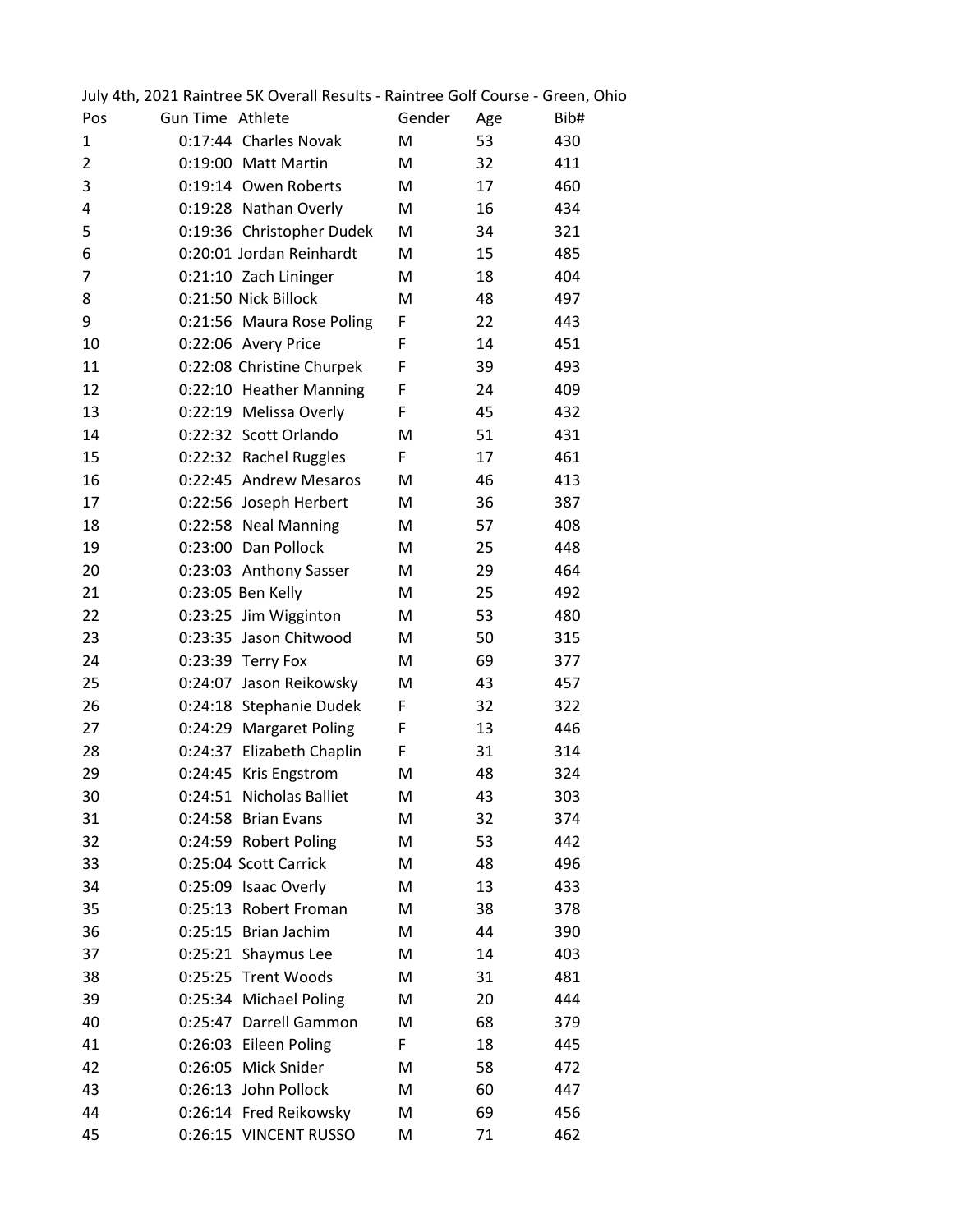|                |                  | July 4th, 2021 Raintree 5K Overall Results - Raintree Golf Course - Green, Ohio |        |     |      |
|----------------|------------------|---------------------------------------------------------------------------------|--------|-----|------|
| Pos            | Gun Time Athlete |                                                                                 | Gender | Age | Bib# |
| 1              |                  | 0:17:44 Charles Novak                                                           | M      | 53  | 430  |
| $\overline{2}$ |                  | 0:19:00 Matt Martin                                                             | M      | 32  | 411  |
| 3              |                  | 0:19:14 Owen Roberts                                                            | M      | 17  | 460  |
| 4              |                  | 0:19:28 Nathan Overly                                                           | M      | 16  | 434  |
| 5              |                  | 0:19:36 Christopher Dudek                                                       | M      | 34  | 321  |
| 6              |                  | 0:20:01 Jordan Reinhardt                                                        | M      | 15  | 485  |
| 7              |                  | 0:21:10 Zach Lininger                                                           | M      | 18  | 404  |
| 8              |                  | 0:21:50 Nick Billock                                                            | M      | 48  | 497  |
| 9              |                  | 0:21:56 Maura Rose Poling                                                       | F      | 22  | 443  |
| 10             |                  | 0:22:06 Avery Price                                                             | F      | 14  | 451  |
| 11             |                  | 0:22:08 Christine Churpek                                                       | F      | 39  | 493  |
| 12             |                  | 0:22:10 Heather Manning                                                         | F      | 24  | 409  |
| 13             |                  | 0:22:19 Melissa Overly                                                          | F      | 45  | 432  |
| 14             |                  | 0:22:32 Scott Orlando                                                           | M      | 51  | 431  |
| 15             |                  | 0:22:32 Rachel Ruggles                                                          | F      | 17  | 461  |
| 16             |                  | 0:22:45 Andrew Mesaros                                                          | M      | 46  | 413  |
| 17             |                  | 0:22:56 Joseph Herbert                                                          | M      | 36  | 387  |
| 18             |                  | 0:22:58 Neal Manning                                                            | M      | 57  | 408  |
| 19             |                  | 0:23:00 Dan Pollock                                                             | M      | 25  | 448  |
| 20             |                  | 0:23:03 Anthony Sasser                                                          | M      | 29  | 464  |
| 21             |                  | 0:23:05 Ben Kelly                                                               | M      | 25  | 492  |
| 22             |                  | 0:23:25 Jim Wigginton                                                           | M      | 53  | 480  |
| 23             |                  | 0:23:35 Jason Chitwood                                                          | M      | 50  | 315  |
| 24             |                  | 0:23:39 Terry Fox                                                               | M      | 69  | 377  |
| 25             |                  | 0:24:07 Jason Reikowsky                                                         | M      | 43  | 457  |
| 26             |                  | 0:24:18 Stephanie Dudek                                                         | F      | 32  | 322  |
| 27             |                  | 0:24:29 Margaret Poling                                                         | F      | 13  | 446  |
| 28             |                  | 0:24:37 Elizabeth Chaplin                                                       | F      | 31  | 314  |
| 29             |                  | 0:24:45 Kris Engstrom                                                           | M      | 48  | 324  |
| 30             |                  | 0:24:51 Nicholas Balliet                                                        | M      | 43  | 303  |
| 31             |                  | 0:24:58 Brian Evans                                                             | M      | 32  | 374  |
| 32             |                  | 0:24:59 Robert Poling                                                           | M      | 53  | 442  |
| 33             |                  | 0:25:04 Scott Carrick                                                           | M      | 48  | 496  |
| 34             |                  | 0:25:09 Isaac Overly                                                            | M      | 13  | 433  |
| 35             |                  | 0:25:13 Robert Froman                                                           | M      | 38  | 378  |
| 36             |                  | 0:25:15 Brian Jachim                                                            | M      | 44  | 390  |
| 37             |                  | 0:25:21 Shaymus Lee                                                             | M      | 14  | 403  |
| 38             |                  | 0:25:25 Trent Woods                                                             | M      | 31  | 481  |
| 39             |                  | 0:25:34 Michael Poling                                                          | M      | 20  | 444  |
| 40             |                  | 0:25:47 Darrell Gammon                                                          | M      | 68  | 379  |
| 41             |                  | 0:26:03 Eileen Poling                                                           | F      | 18  | 445  |
| 42             |                  | 0:26:05 Mick Snider                                                             | M      | 58  | 472  |
| 43             |                  | 0:26:13 John Pollock                                                            | M      | 60  | 447  |
| 44             |                  | 0:26:14 Fred Reikowsky                                                          | M      | 69  | 456  |
| 45             |                  | 0:26:15 VINCENT RUSSO                                                           | M      | 71  | 462  |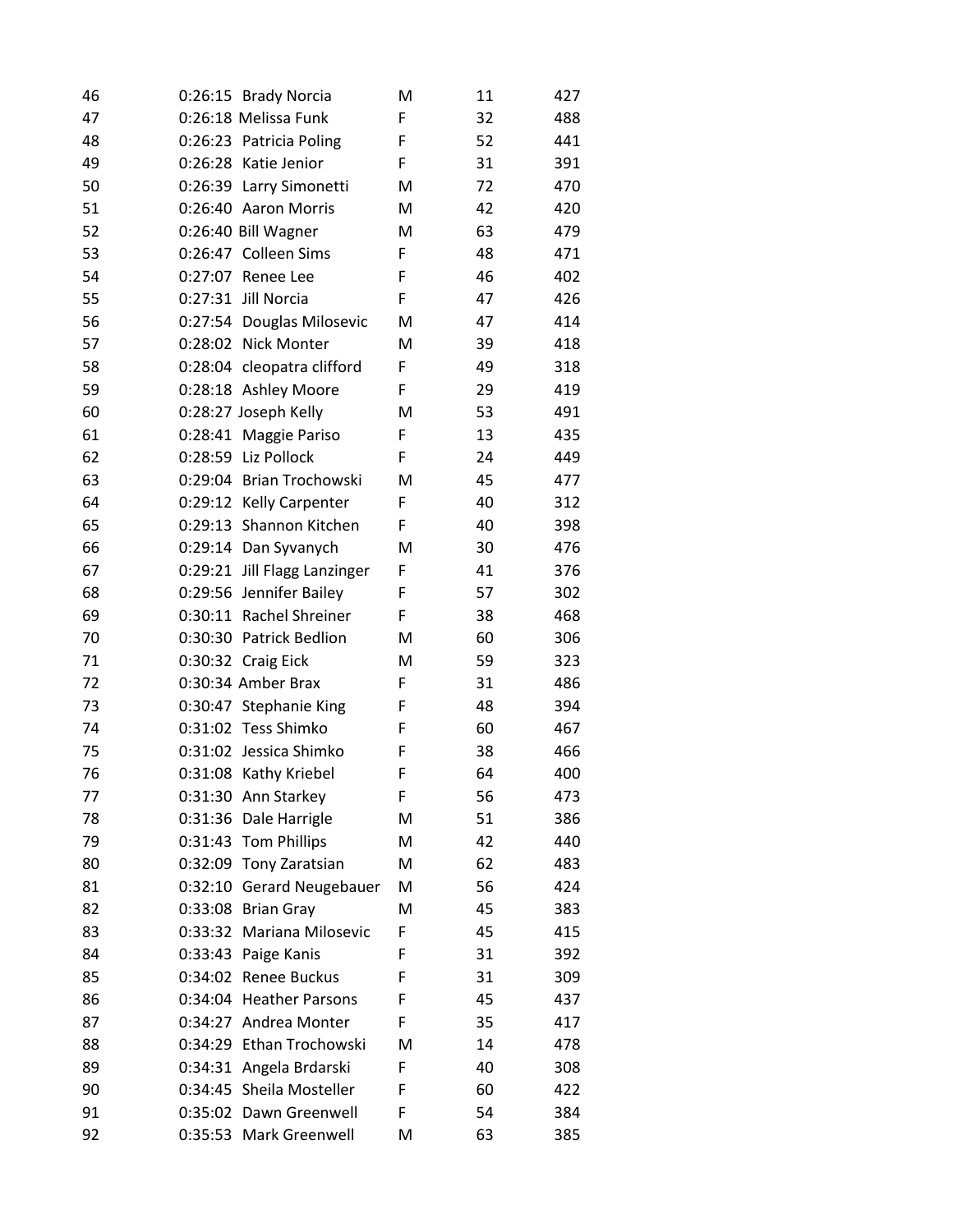| 46 |         | 0:26:15 Brady Norcia         | M | 11 | 427 |
|----|---------|------------------------------|---|----|-----|
| 47 |         | 0:26:18 Melissa Funk         | F | 32 | 488 |
| 48 |         | 0:26:23 Patricia Poling      | F | 52 | 441 |
| 49 |         | 0:26:28 Katie Jenior         | F | 31 | 391 |
| 50 |         | 0:26:39 Larry Simonetti      | M | 72 | 470 |
| 51 |         | 0:26:40 Aaron Morris         | M | 42 | 420 |
| 52 |         | 0:26:40 Bill Wagner          | M | 63 | 479 |
| 53 |         | 0:26:47 Colleen Sims         | F | 48 | 471 |
| 54 |         | 0:27:07 Renee Lee            | F | 46 | 402 |
| 55 |         | 0:27:31 Jill Norcia          | F | 47 | 426 |
| 56 |         | 0:27:54 Douglas Milosevic    | M | 47 | 414 |
| 57 |         | 0:28:02 Nick Monter          | M | 39 | 418 |
| 58 |         | 0:28:04 cleopatra clifford   | F | 49 | 318 |
| 59 |         | 0:28:18 Ashley Moore         | F | 29 | 419 |
| 60 |         | 0:28:27 Joseph Kelly         | M | 53 | 491 |
| 61 |         | 0:28:41 Maggie Pariso        | F | 13 | 435 |
| 62 |         | 0:28:59 Liz Pollock          | F | 24 | 449 |
| 63 |         | 0:29:04 Brian Trochowski     | М | 45 | 477 |
| 64 |         | 0:29:12 Kelly Carpenter      | F | 40 | 312 |
| 65 |         | 0:29:13 Shannon Kitchen      | F | 40 | 398 |
| 66 |         | 0:29:14 Dan Syvanych         | M | 30 | 476 |
| 67 |         | 0:29:21 Jill Flagg Lanzinger | F | 41 | 376 |
| 68 |         | 0:29:56 Jennifer Bailey      | F | 57 | 302 |
| 69 |         | 0:30:11 Rachel Shreiner      | F | 38 | 468 |
| 70 |         | 0:30:30 Patrick Bedlion      | М | 60 | 306 |
| 71 |         | 0:30:32 Craig Eick           | M | 59 | 323 |
| 72 |         | 0:30:34 Amber Brax           | F | 31 | 486 |
| 73 |         | 0:30:47 Stephanie King       | F | 48 | 394 |
| 74 |         | 0:31:02 Tess Shimko          | F | 60 | 467 |
| 75 |         | 0:31:02 Jessica Shimko       | F | 38 | 466 |
| 76 |         | 0:31:08 Kathy Kriebel        | F | 64 | 400 |
| 77 |         | 0:31:30 Ann Starkey          | F | 56 | 473 |
| 78 |         | 0:31:36 Dale Harrigle        | M | 51 | 386 |
| 79 |         | 0:31:43 Tom Phillips         | M | 42 | 440 |
| 80 |         | 0:32:09 Tony Zaratsian       | M | 62 | 483 |
| 81 | 0:32:10 | <b>Gerard Neugebauer</b>     | M | 56 | 424 |
| 82 |         | 0:33:08 Brian Gray           | M | 45 | 383 |
| 83 |         | 0:33:32 Mariana Milosevic    | F | 45 | 415 |
| 84 |         | 0:33:43 Paige Kanis          | F | 31 | 392 |
| 85 |         | 0:34:02 Renee Buckus         | F | 31 | 309 |
| 86 |         | 0:34:04 Heather Parsons      | F | 45 | 437 |
| 87 |         | 0:34:27 Andrea Monter        | F | 35 | 417 |
| 88 |         | 0:34:29 Ethan Trochowski     | M | 14 | 478 |
| 89 |         | 0:34:31 Angela Brdarski      | F | 40 | 308 |
| 90 |         | 0:34:45 Sheila Mosteller     | F | 60 | 422 |
| 91 |         | 0:35:02 Dawn Greenwell       | F | 54 | 384 |
| 92 |         | 0:35:53 Mark Greenwell       | M | 63 | 385 |